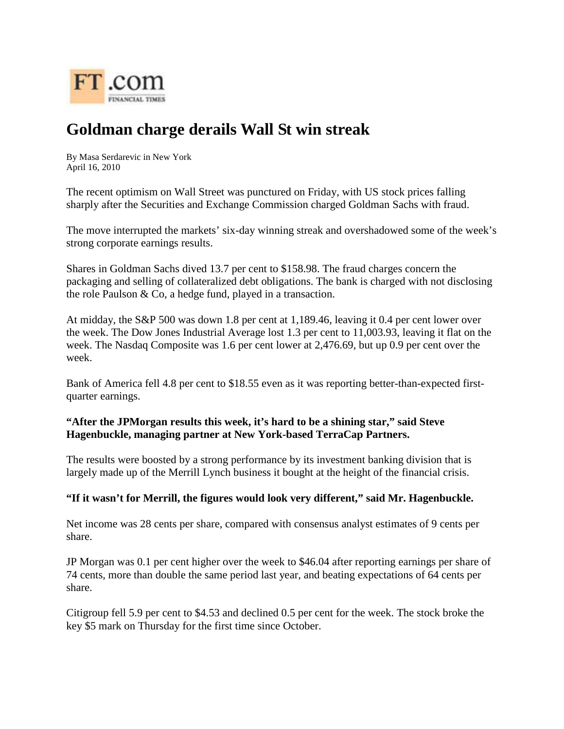

## **Goldman charge derails Wall St win streak**

By Masa Serdarevic in New York April 16, 2010

The recent optimism on Wall Street was punctured on Friday, with [US stock prices](http://www.ft.com/markets/us) falling sharply after the Securities and Exchange Commission [charged Goldman Sachs with fraud.](http://www.ft.com/cms/s/0/0e4a7b38-496a-11df-9060-00144feab49a.html)

The move interrupted the markets' six-day winning streak and overshadowed some of the week's strong corporate earnings results.

Shares in [Goldman Sachs](http://markets.ft.com/tearsheets/performance.asp?s=us:GS) dived 13.7 per cent to \$158.98. The fraud charges concern the packaging and selling of collateralized debt obligations. The bank is charged with not disclosing the role Paulson & Co, a hedge fund, played in a transaction.

At midday, the S&P 500 was down 1.8 per cent at 1,189.46, leaving it 0.4 per cent lower over the week. The Dow Jones Industrial Average lost 1.3 per cent to 11,003.93, leaving it flat on the week. The Nasdaq Composite was 1.6 per cent lower at 2,476.69, but up 0.9 per cent over the week.

[Bank of America f](http://markets.ft.com/tearsheets/performance.asp?s=us:BAC)ell 4.8 per cent to \$18.55 even as it was reporting better-than-expected [first](http://www.ft.com/cms/s/0/b7b092aa-494e-11df-8e4f-00144feab49a.html)[quarter earnings.](http://www.ft.com/cms/s/0/b7b092aa-494e-11df-8e4f-00144feab49a.html)

## **"After the JPMorgan results this week, it's hard to be a shining star," said Steve Hagenbuckle, managing partner at New York-based TerraCap Partners.**

The results were boosted by a strong performance by its investment banking division that is largely made up of the Merrill Lynch business it bought at the height of the financial crisis.

## **"If it wasn't for Merrill, the figures would look very different," said Mr. Hagenbuckle.**

Net income was 28 cents per share, compared with consensus analyst estimates of 9 cents per share.

[JP Morgan](http://markets.ft.com/tearsheets/performance.asp?s=us:JPM) was 0.1 per cent higher over the week to \$46.04 after reporting earnings per share of 74 cents, more than double the same period last year, and beating expectations of 64 cents per share.

[Citigroup](http://markets.ft.com/tearsheets/performance.asp?s=us:C) fell 5.9 per cent to \$4.53 and declined 0.5 per cent for the week. The stock broke the key \$5 mark on Thursday for the first time since October.